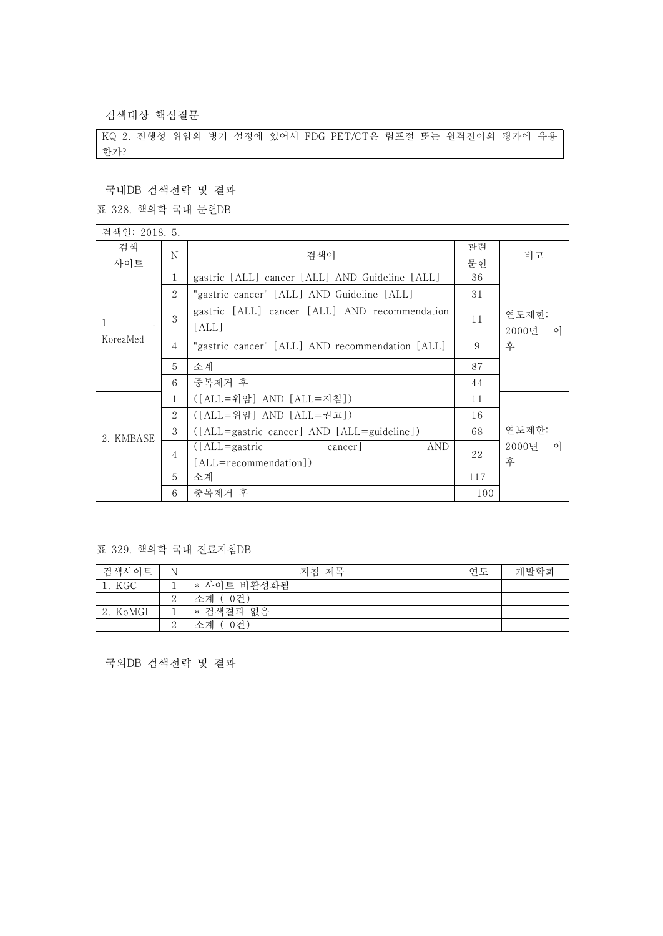검색대상 핵심질문

KQ 2. 진행성 위암의 병기 설정에 있어서 FDG PET/CT은 림프절 또는 원격전이의 평가에 유용 한가?

국내DB 검색전략 및 결과

표 328. 핵의학 국내 문헌DB

| 검색일: 2018. 5.  |                |                                                        |     |                  |
|----------------|----------------|--------------------------------------------------------|-----|------------------|
| 검색<br>N<br>사이트 |                | 검색어                                                    | 관련  | 비고               |
|                |                |                                                        | 문헌  |                  |
|                | 1              | gastric [ALL] cancer [ALL] AND Guideline [ALL]         | 36  |                  |
|                | 2              | "gastric cancer" [ALL] AND Guideline [ALL]             | 31  |                  |
|                | 3              | gastric [ALL] cancer [ALL] AND recommendation          | 11  | 연도제한:            |
| 1<br>KoreaMed  |                | [ALL]                                                  |     | 2000년<br>$\circ$ |
|                | 4              | "gastric cancer" [ALL] AND recommendation [ALL]        | 9   | 후                |
|                | 5              | 소계                                                     | 87  |                  |
|                | 6              | 중복제거 후                                                 | 44  |                  |
| 2. KMBASE      | $\mathbf{1}$   | ([ALL=위암] AND [ALL=지침])                                | 11  |                  |
|                | $\mathcal{L}$  | ([ALL=위암] AND [ALL=권고])                                | 16  |                  |
|                | 3              | ([ALL=gastric cancer] AND [ALL=guideline])             | 68  | 연도제한:            |
|                | $\overline{4}$ | $(LALI =$ gastric<br>cancer <sup>1</sup><br><b>AND</b> | 22  | 2000년<br>$\circ$ |
|                |                | [ALL=recommendation])                                  |     | 후                |
|                | 5              | 소계                                                     | 117 |                  |
|                | 6              | 중복제거 후                                                 | 100 |                  |

표 329. 핵의학 국내 진료지침DB

| 검색사이트    | N        | 제목<br>지침     | 여도 | 개발학회 |
|----------|----------|--------------|----|------|
| 1. KGC   |          | * 사이트 비활성화됨  |    |      |
|          | $\Omega$ | 소계<br>- 0거 ) |    |      |
| 2. KoMGI |          | * 검색결과 없음    |    |      |
|          | $\Omega$ | 0건)<br>소계    |    |      |

국외DB 검색전략 및 결과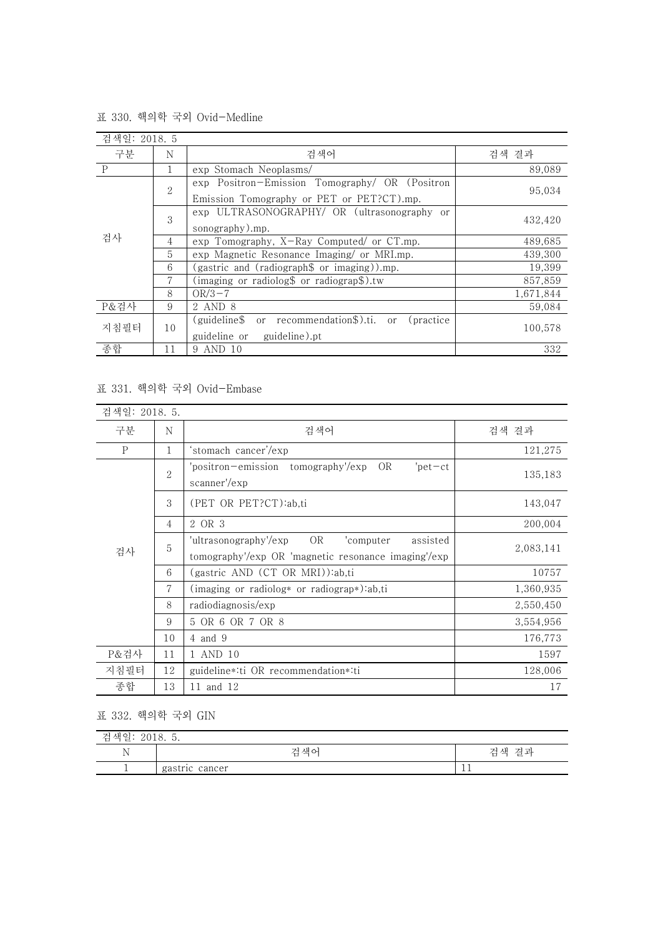| 검색일: 2018. 5 |                |                                                       |           |
|--------------|----------------|-------------------------------------------------------|-----------|
| 구분           | N              | 검색어                                                   | 검색 결과     |
| $\mathbf P$  | 1              | exp Stomach Neoplasms/                                | 89,089    |
| 검사           | 2              | exp Positron-Emission Tomography/ OR (Positron        |           |
|              |                | Emission Tomography or PET or PET?CT).mp.             | 95,034    |
|              | 3              | exp ULTRASONOGRAPHY/ OR (ultrasonography or           |           |
|              |                | sonography).mp.                                       | 432.420   |
|              | 4              | exp Tomography, X-Ray Computed/ or CT.mp.             | 489,685   |
|              | $\overline{5}$ | exp Magnetic Resonance Imaging/ or MRI.mp.            | 439,300   |
|              | 6              | (gastric and (radiograph\$ or imaging)).mp.           | 19,399    |
|              | 7              | (imaging or radiolog\$ or radiograp\$).tw             | 857,859   |
|              | 8              | $OR/3-7$                                              | 1,671,844 |
| P&검사         | 9              | 2 AND 8                                               | 59,084    |
| 지침필터         | 10             | recommendation\$).ti. or (practice<br>(guideline\$ or |           |
|              |                | guideline or<br>guideline).pt                         | 100.578   |
| 종합           | 11             | 9 AND 10                                              | 332       |

표 330. 핵의학 국외 Ovid-Medline

## 표 331. 핵의학 국외 Ovid-Embase

| 검색일: 2018. 5. |                |                                                                                                             |           |
|---------------|----------------|-------------------------------------------------------------------------------------------------------------|-----------|
| 구분            | N              | 검색어                                                                                                         | 검색 결과     |
| $\mathbf{P}$  | $\mathbf{1}$   | stomach cancer'/exp                                                                                         | 121,275   |
|               | $\overline{2}$ | 'positron-emission tomography'/exp<br>OR<br>$'$ pet $-ct$<br>scanner'/exp                                   | 135,183   |
|               | 3              | (PET OR PET?CT):ab,ti                                                                                       | 143,047   |
|               | $\overline{4}$ | 2 OR 3                                                                                                      | 200,004   |
| 검사            | 5              | OR<br>'ultrasonography'/exp<br>'computer<br>assisted<br>tomography'/exp OR 'magnetic resonance imaging'/exp | 2,083,141 |
|               | 6              | (gastric AND (CT OR MRI)):ab,ti                                                                             | 10757     |
|               | $\overline{7}$ | (imaging or radiolog* or radiograp*):ab,ti                                                                  | 1,360,935 |
|               | 8              | radiodiagnosis/exp                                                                                          | 2,550,450 |
|               | 9              | 5 OR 6 OR 7 OR 8                                                                                            | 3,554,956 |
|               | 10             | 4 and 9                                                                                                     | 176,773   |
| P&검사          | 11             | 1 AND 10                                                                                                    | 1597      |
| 지침필터          | 12             | guideline*:ti OR recommendation*:ti                                                                         | 128,006   |
| 종합            | 13             | 11 and 12                                                                                                   | 17        |

## 표 332. 핵의학 국외 GIN

| 재아<br>-<br>71<br>`ਦ<br>2010. J.<br>≃<br>$\overline{\phantom{a}}$ |                |                 |  |
|------------------------------------------------------------------|----------------|-----------------|--|
| ът.<br>ΙN                                                        | 걱색어            | 겨교<br>저 색<br>'근 |  |
|                                                                  | gastric cancer | ᆠ               |  |